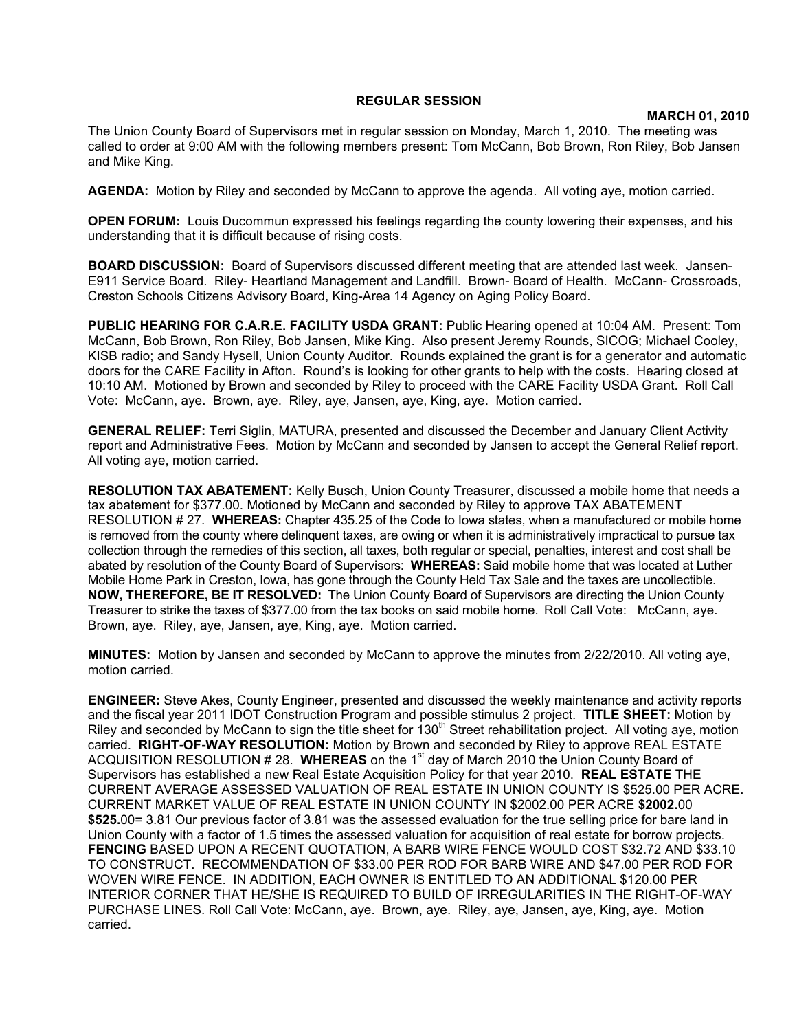## **REGULAR SESSION**

## **MARCH 01, 2010**

The Union County Board of Supervisors met in regular session on Monday, March 1, 2010. The meeting was called to order at 9:00 AM with the following members present: Tom McCann, Bob Brown, Ron Riley, Bob Jansen and Mike King.

**AGENDA:** Motion by Riley and seconded by McCann to approve the agenda. All voting aye, motion carried.

**OPEN FORUM:** Louis Ducommun expressed his feelings regarding the county lowering their expenses, and his understanding that it is difficult because of rising costs.

**BOARD DISCUSSION:** Board of Supervisors discussed different meeting that are attended last week. Jansen-E911 Service Board. Riley- Heartland Management and Landfill. Brown- Board of Health. McCann- Crossroads, Creston Schools Citizens Advisory Board, King-Area 14 Agency on Aging Policy Board.

**PUBLIC HEARING FOR C.A.R.E. FACILITY USDA GRANT:** Public Hearing opened at 10:04 AM. Present: Tom McCann, Bob Brown, Ron Riley, Bob Jansen, Mike King. Also present Jeremy Rounds, SICOG; Michael Cooley, KISB radio; and Sandy Hysell, Union County Auditor. Rounds explained the grant is for a generator and automatic doors for the CARE Facility in Afton. Round's is looking for other grants to help with the costs. Hearing closed at 10:10 AM. Motioned by Brown and seconded by Riley to proceed with the CARE Facility USDA Grant. Roll Call Vote: McCann, aye. Brown, aye. Riley, aye, Jansen, aye, King, aye. Motion carried.

**GENERAL RELIEF:** Terri Siglin, MATURA, presented and discussed the December and January Client Activity report and Administrative Fees. Motion by McCann and seconded by Jansen to accept the General Relief report. All voting aye, motion carried.

**RESOLUTION TAX ABATEMENT:** Kelly Busch, Union County Treasurer, discussed a mobile home that needs a tax abatement for \$377.00. Motioned by McCann and seconded by Riley to approve TAX ABATEMENT RESOLUTION # 27. **WHEREAS:** Chapter 435.25 of the Code to Iowa states, when a manufactured or mobile home is removed from the county where delinquent taxes, are owing or when it is administratively impractical to pursue tax collection through the remedies of this section, all taxes, both regular or special, penalties, interest and cost shall be abated by resolution of the County Board of Supervisors: **WHEREAS:** Said mobile home that was located at Luther Mobile Home Park in Creston, Iowa, has gone through the County Held Tax Sale and the taxes are uncollectible. **NOW, THEREFORE, BE IT RESOLVED:** The Union County Board of Supervisors are directing the Union County Treasurer to strike the taxes of \$377.00 from the tax books on said mobile home. Roll Call Vote: McCann, aye. Brown, aye. Riley, aye, Jansen, aye, King, aye. Motion carried.

**MINUTES:** Motion by Jansen and seconded by McCann to approve the minutes from 2/22/2010. All voting aye, motion carried.

**ENGINEER:** Steve Akes, County Engineer, presented and discussed the weekly maintenance and activity reports and the fiscal year 2011 IDOT Construction Program and possible stimulus 2 project. **TITLE SHEET:** Motion by Riley and seconded by McCann to sign the title sheet for  $130<sup>th</sup>$  Street rehabilitation project. All voting aye, motion carried. **RIGHT-OF-WAY RESOLUTION:** Motion by Brown and seconded by Riley to approve REAL ESTATE ACQUISITION RESOLUTION # 28. **WHEREAS** on the 1st day of March 2010 the Union County Board of Supervisors has established a new Real Estate Acquisition Policy for that year 2010. **REAL ESTATE** THE CURRENT AVERAGE ASSESSED VALUATION OF REAL ESTATE IN UNION COUNTY IS \$525.00 PER ACRE. CURRENT MARKET VALUE OF REAL ESTATE IN UNION COUNTY IN \$2002.00 PER ACRE **\$2002.**00 **\$525.**00= 3.81 Our previous factor of 3.81 was the assessed evaluation for the true selling price for bare land in Union County with a factor of 1.5 times the assessed valuation for acquisition of real estate for borrow projects. **FENCING** BASED UPON A RECENT QUOTATION, A BARB WIRE FENCE WOULD COST \$32.72 AND \$33.10 TO CONSTRUCT. RECOMMENDATION OF \$33.00 PER ROD FOR BARB WIRE AND \$47.00 PER ROD FOR WOVEN WIRE FENCE. IN ADDITION, EACH OWNER IS ENTITLED TO AN ADDITIONAL \$120.00 PER INTERIOR CORNER THAT HE/SHE IS REQUIRED TO BUILD OF IRREGULARITIES IN THE RIGHT-OF-WAY PURCHASE LINES. Roll Call Vote: McCann, aye. Brown, aye. Riley, aye, Jansen, aye, King, aye. Motion carried.